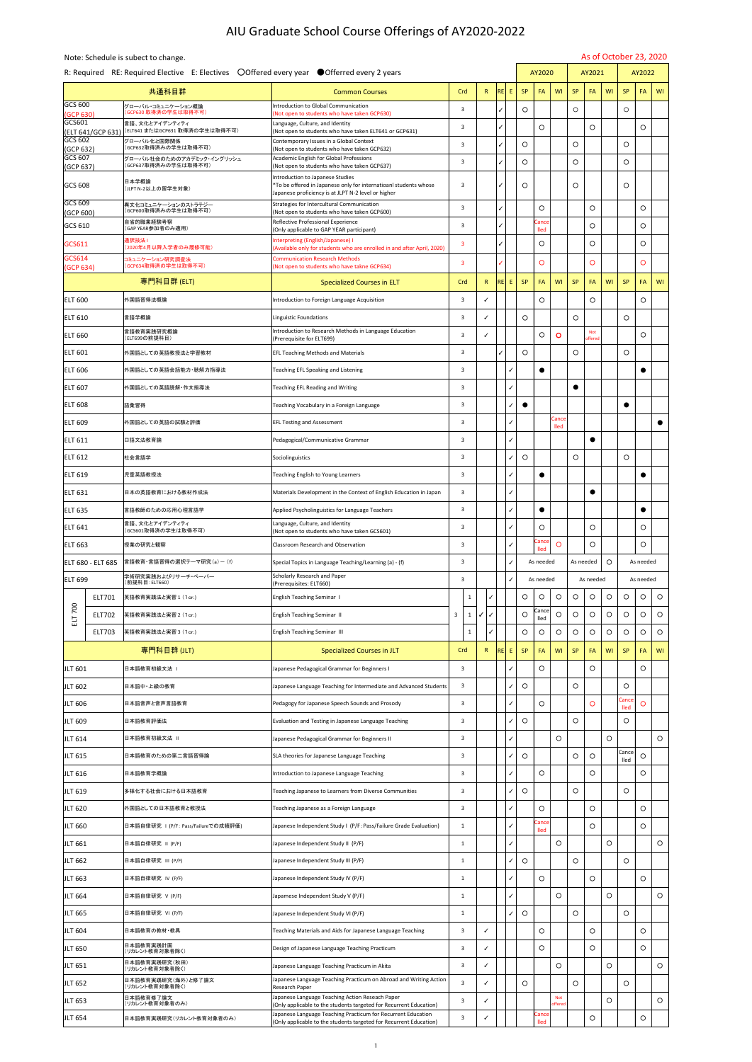## AIU Graduate School Course Offerings of AY2020-2022

|                                        | Note: Schedule is subect to change.                                                          |                                                                                                                       |                |            |                          |            |                      |                       |                |                       |            |                      | As of October 23, 2020   |  |  |
|----------------------------------------|----------------------------------------------------------------------------------------------|-----------------------------------------------------------------------------------------------------------------------|----------------|------------|--------------------------|------------|----------------------|-----------------------|----------------|-----------------------|------------|----------------------|--------------------------|--|--|
|                                        | R: Required RE: Required Elective E: Electives ○ Offered every year ● Offerred every 2 years |                                                                                                                       |                |            |                          |            | AY2020               |                       |                | AY2021                |            |                      | AY2022                   |  |  |
|                                        | 共通科目群                                                                                        | <b>Common Courses</b>                                                                                                 | Crd            | R          | <b>RE</b><br>$E_{\perp}$ | <b>SP</b>  | FA                   | <b>WI</b>             | <b>SP</b>      | FA                    | <b>WI</b>  | <b>SP</b>            | FA<br><b>WI</b>          |  |  |
| $GCS$ 600<br>(GCP 630)                 | グローバル・コミュニケーション概論<br>(GCP630 取得済の学生は取得不可)                                                    | Introduction to Global Communication<br>(Not open to students who have taken GCP630)                                  |                |            |                          | $\bigcirc$ |                      |                       | $\bigcirc$     |                       |            | $\bigcup$            |                          |  |  |
| <b>GCS601</b><br>$ $ (ELT 641/GCP 631) | 言語、文化とアイデンティティ<br> (ELT641 またはGCP631 取得済の学生は取得不可)                                            | Language, Culture, and Identity<br>(Not open to students who have taken ELT641 or GCP631)                             |                |            |                          |            | $\bigcirc$           |                       |                | $\bigcirc$            |            |                      | $\bigcirc$               |  |  |
| <b>GCS 602</b><br>$\vert$ (GCP 632)    | グローバル化と国際関係<br>(GCP632取得済みの学生は取得不可)                                                          | Contemporary Issues in a Global Context<br>(Not open to students who have taken GCP632)                               |                |            | $\checkmark$             | $\bigcirc$ |                      |                       | $\bigcirc$     |                       |            | $\bigcirc$           |                          |  |  |
| GCS 607<br>(GCP 637)                   | グローバル社会のためのアカデミック・イングリッシュ<br>(GCP637取得済みの学生は取得不可)                                            | Academic English for Global Professions<br>(Not open to students who have taken GCP637)                               |                |            |                          | $\bigcirc$ |                      |                       | $\overline{O}$ |                       |            | $\bigcirc$           |                          |  |  |
| <b>GCS 608</b>                         | 日本学概論<br>(JLPT N-2以上の留学生対象)                                                                  | Introduction to Japanese Studies<br>*To be offered in Japanese only for internatioanl students whose                  | 3              |            |                          | $\bigcirc$ |                      |                       | $\bigcirc$     |                       |            | $\bigcirc$           |                          |  |  |
| GCS 609                                | 異文化コミュニケーションのストラテジー                                                                          | Japanese proficiency is at JLPT N-2 level or higher<br>Strategies for Intercultural Communication                     |                |            |                          |            |                      |                       |                |                       |            |                      |                          |  |  |
| (GCP 600)                              | (GCP600取得済みの学生は取得不可)<br>自省的職業経験考察                                                            | (Not open to students who have taken GCP600)<br>Reflective Professional Experience                                    |                |            |                          |            | O<br>Cance           |                       |                | $\bigcirc$            |            |                      | $\bigcirc$               |  |  |
| GCS 610                                | (GAP YEAR参加者のみ適用)<br>通訳技法                                                                    | (Only applicable to GAP YEAR participant)<br>Interpreting (English/Japanese) I                                        |                |            |                          |            | lled                 |                       |                | $\bigcirc$            |            |                      | $\bigcirc$               |  |  |
| GCS611<br><b>GCS614</b>                | (2020年4月以降入学者のみ履修可能)                                                                         | (Available only for students who are enrolled in and after April, 2020)                                               |                |            |                          |            | $\bigcirc$           |                       |                | $\bigcirc$            |            |                      | $\bigcirc$               |  |  |
| (GCP 634)                              | コミュニケーション研究調査法<br>(GCP634取得済の学生は取得不可)                                                        | <b>Communication Research Methods</b><br>(Not open to students who have takne GCP634)                                 |                |            |                          |            |                      |                       |                | $\bigcirc$            |            |                      | $\bigcirc$               |  |  |
|                                        | 専門科目群 (ELT)                                                                                  | <b>Specialized Courses in ELT</b>                                                                                     | Crd            | R          | <b>RE</b><br>$E_{\perp}$ | SP         | <b>FA</b>            | <b>WI</b>             | <b>SP</b>      | <b>FA</b>             | <b>WI</b>  | <b>SP</b>            | <b>WI</b><br>FA          |  |  |
| <b>ELT 600</b>                         | 外国語習得法概論                                                                                     | Introduction to Foreign Language Acquisition                                                                          |                |            |                          |            |                      |                       |                | $\bigcirc$            |            |                      | $\bigcirc$               |  |  |
| <b>ELT 610</b>                         | 言語学概論                                                                                        | <b>Linguistic Foundations</b>                                                                                         |                |            |                          | $\bigcirc$ |                      |                       | $\bigcirc$     |                       |            |                      |                          |  |  |
| <b>ELT 660</b>                         | 言語教育実践研究概論<br>(ELT699の前提科目)                                                                  | Introduction to Research Methods in Language Education<br>(Prerequisite for ELT699)                                   |                |            |                          |            | $\bigcirc$           | $\bigcirc$            |                | <b>Not</b><br>offered |            |                      | $\bigcirc$               |  |  |
| <b>ELT 601</b>                         | 外国語としての英語教授法と学習教材                                                                            | <b>EFL Teaching Methods and Materials</b>                                                                             |                |            |                          | $\bigcirc$ |                      |                       | $\bigcirc$     |                       |            | $\bigcirc$           |                          |  |  |
| <b>ELT 606</b>                         | 外国語としての英語会話能力・聴解力指導法                                                                         | Teaching EFL Speaking and Listening                                                                                   |                |            |                          |            |                      |                       |                |                       |            |                      |                          |  |  |
| <b>ELT 607</b>                         | 外国語としての英語読解・作文指導法                                                                            | <b>Teaching EFL Reading and Writing</b>                                                                               |                |            |                          |            |                      |                       |                |                       |            |                      |                          |  |  |
| <b>ELT 608</b>                         | 語彙習得                                                                                         | Teaching Vocabulary in a Foreign Language                                                                             |                |            |                          |            |                      |                       |                |                       |            |                      |                          |  |  |
| <b>ELT 609</b>                         | 外国語としての英語の試験と評価                                                                              | <b>EFL Testing and Assessment</b>                                                                                     |                |            |                          |            |                      | Cance<br>lled         |                |                       |            |                      |                          |  |  |
| <b>ELT 611</b>                         | 口語文法教育論                                                                                      | Pedagogical/Communicative Grammar                                                                                     |                |            |                          |            |                      |                       |                |                       |            |                      |                          |  |  |
| <b>ELT 612</b>                         | 社会言語学                                                                                        | Sociolinguistics                                                                                                      |                |            |                          | $\bigcirc$ |                      |                       | $\bigcirc$     |                       |            | $\bigcirc$           |                          |  |  |
| <b>ELT 619</b>                         | 児童英語教授法                                                                                      | Teaching English to Young Learners                                                                                    |                |            |                          |            |                      |                       |                |                       |            |                      |                          |  |  |
| <b>ELT 631</b>                         | 日本の英語教育における教材作成法                                                                             | Materials Development in the Context of English Education in Japan                                                    | $\overline{3}$ |            |                          |            |                      |                       |                |                       |            |                      |                          |  |  |
| <b>ELT 635</b>                         | 言語教師のための応用心理言語学                                                                              | Applied Psycholinguistics for Language Teachers                                                                       | C              |            |                          |            |                      |                       |                |                       |            |                      |                          |  |  |
| <b>ELT 641</b>                         | 言語、文化とアイデンティティ<br>(GCS601取得済の学生は取得不可)                                                        | Language, Culture, and Identity<br>(Not open to students who have taken GCS601)                                       |                |            |                          |            | $\bigcirc$           |                       |                | $\bigcirc$            |            |                      | $\bigcirc$               |  |  |
| <b>ELT 663</b>                         | 授業の研究と観察                                                                                     | <b>Classroom Research and Observation</b>                                                                             |                |            |                          |            | Cance<br>lled        | $\bigcap$             |                | $\bigcirc$            |            |                      | $\bigcirc$               |  |  |
| ELT 680 - ELT 685                      | 言語教育・言語習得の選択テーマ研究(a)- (f)                                                                    | Special Topics in Language Teaching/Learning (a) - (f)                                                                |                |            |                          |            | As needed            |                       | As needed      |                       | $\bigcirc$ |                      | As needed                |  |  |
| <b>ELT 699</b>                         | 学術研究実践およびリサーチ・ペーパー <br>(前提科目: ELT660)                                                        | <b>Scholarly Research and Paper</b><br>(Prerequisites: ELT660)                                                        |                |            |                          |            | As needed            |                       |                | As needed             |            |                      | As needed                |  |  |
| <b>ELT701</b>                          | 英語教育実践法と実習 1 (1cr.)                                                                          | <b>English Teaching Seminar 1</b>                                                                                     |                |            |                          | $\bigcirc$ | $\bigcirc$           | $\bigcirc$            | $\bigcirc$     | $\bigcirc$            | $\bigcirc$ | $\bigcirc$           | $\bigcirc$<br>$\bigcirc$ |  |  |
| 700<br><b>ELT702</b><br>ELT            | 英語教育実践法と実習 2 (1cr.)                                                                          | <b>English Teaching Seminar II</b>                                                                                    | $\overline{3}$ | $\sqrt{ }$ |                          | $\bigcirc$ | Cance<br><b>lled</b> | $\bigcirc$            | $\bigcirc$     | $\bigcirc$            | $\bigcirc$ | $\bigcirc$           | $\bigcirc$<br>$\bigcirc$ |  |  |
| <b>ELT703</b>                          | 英語教育実践法と実習 3 (1cr.)                                                                          | <b>English Teaching Seminar III</b>                                                                                   |                |            |                          | $\bigcirc$ | $\bigcirc$           | $\bigcirc$            | $\bigcirc$     | $\bigcirc$            | $\bigcirc$ | $\bigcirc$           | $\bigcirc$<br>$\bigcirc$ |  |  |
|                                        | 専門科目群(JLT)                                                                                   | <b>Specialized Courses in JLT</b>                                                                                     | Crd            | R          | RE<br>- E - I            | <b>SP</b>  | <b>FA</b>            | <b>WI</b>             | <b>SP</b>      | <b>FA</b>             | <b>WI</b>  | <b>SP</b>            | <b>WI</b><br>FA          |  |  |
| <b>JLT 601</b>                         | 日本語教育初級文法 1                                                                                  | Japanese Pedagogical Grammar for Beginners I                                                                          |                |            |                          |            | $\bigcirc$           |                       |                | $\bigcirc$            |            |                      | $\bigcirc$               |  |  |
| <b>JLT 602</b>                         | 日本語中・上級の教育                                                                                   | Japanese Language Teaching for Intermediate and Advanced Students                                                     | 3              |            |                          | $\bigcirc$ |                      |                       | $\overline{O}$ |                       |            | $\bigcirc$           |                          |  |  |
| <b>JLT 606</b>                         | 日本語音声と音声言語教育                                                                                 | Pedagogy for Japanese Speech Sounds and Prosody                                                                       |                |            |                          |            | $\bigcirc$           |                       |                | $\overline{O}$        |            | Cance<br><b>Iled</b> | $\bigcirc$               |  |  |
| <b>JLT 609</b>                         | 日本語教育評価法                                                                                     | Evaluation and Testing in Japanese Language Teaching                                                                  |                |            |                          | $\bigcirc$ |                      |                       | $\bigcirc$     |                       |            | $\bigcirc$           |                          |  |  |
| <b>JLT 614</b>                         | 日本語教育初級文法 Ⅱ                                                                                  | Japanese Pedagogical Grammar for Beginners II                                                                         | 3              |            |                          |            |                      | $\bigcirc$            |                |                       | $\bigcirc$ |                      | $\bigcirc$               |  |  |
| <b>JLT 615</b>                         | 日本語教育のための第二言語習得論                                                                             | SLA theories for Japanese Language Teaching                                                                           |                |            |                          | $\bigcirc$ |                      |                       | $\bigcirc$     | $\bigcirc$            |            | <b>Cance</b><br>lled | $\bigcirc$               |  |  |
| <b>JLT 616</b>                         | 日本語教育学概論                                                                                     | Introduction to Japanese Language Teaching                                                                            |                |            |                          |            | $\bigcirc$           |                       |                | $\bigcirc$            |            |                      | $\bigcirc$               |  |  |
| <b>JLT 619</b>                         | 多様化する社会における日本語教育                                                                             | Teaching Japanese to Learners from Diverse Communities                                                                | 3              |            |                          | $\bigcirc$ |                      |                       | $\bigcirc$     |                       |            | $\bigcirc$           |                          |  |  |
| <b>JLT 620</b>                         | 外国語としての日本語教育と教授法                                                                             | Teaching Japanese as a Foreign Language                                                                               | - 3            |            |                          |            | $\bigcirc$           |                       |                | $\bigcirc$            |            |                      | $\bigcirc$               |  |  |
| <b>JLT 660</b>                         | 日本語自律研究 I (P/F: Pass/Failureでの成績評価)                                                          | Japanese Independent Study I (P/F: Pass/Failure Grade Evaluation)                                                     |                |            |                          |            | Cance<br>lled        |                       |                | $\bigcirc$            |            |                      | $\bigcirc$               |  |  |
| <b>JLT 661</b>                         | 日本語自律研究 II (P/F)                                                                             | Japanese Independent Study II (P/F)                                                                                   |                |            |                          |            |                      | $\bigcirc$            |                |                       | $\bigcirc$ |                      | $\bigcirc$               |  |  |
| <b>JLT 662</b>                         | 日本語自律研究 III (P/F)                                                                            | Japanese Independent Study III (P/F)                                                                                  |                |            |                          | $\bigcirc$ |                      |                       | $\bigcirc$     |                       |            | $\bigcirc$           |                          |  |  |
| JLT 663                                | 日本語自律研究 IV (P/F)                                                                             | Japanese Independent Study IV (P/F)                                                                                   |                |            |                          |            | $\bigcirc$           |                       |                | $\bigcirc$            |            |                      | $\bigcirc$               |  |  |
| <b>JLT 664</b>                         | 日本語自律研究 V (P/F)                                                                              | Japamese Independent Study V (P/F)                                                                                    |                |            |                          |            |                      | $\bigcirc$            |                |                       | $\bigcirc$ |                      | $\bigcirc$               |  |  |
| <b>JLT 665</b>                         | 日本語自律研究 VI (P/F)                                                                             | Japanese Independent Study VI (P/F)                                                                                   |                |            |                          | $\bigcirc$ |                      |                       | $\bigcirc$     |                       |            | $\bigcirc$           |                          |  |  |
| <b>JLT 604</b>                         | 日本語教育の教材・教具                                                                                  | Teaching Materials and Aids for Japanese Language Teaching                                                            | 3              |            |                          |            | $\bigcirc$           |                       |                | $\bigcirc$            |            |                      | $\bigcirc$               |  |  |
| <b>JLT 650</b>                         | 日本語教育実践計画<br>(リカレント教育対象者除く)                                                                  | Design of Japanese Language Teaching Practicum                                                                        | $\mathsf{B}$   |            |                          |            | $\bigcirc$           |                       |                | $\bigcirc$            |            |                      | $\bigcirc$               |  |  |
| <b>JLT 651</b>                         | 日本語教育実践研究(秋田)<br>(リカレント教育対象者除く)                                                              | Japanese Language Teaching Practicum in Akita                                                                         |                |            |                          |            |                      | $\bigcap$<br>$\vee$   |                |                       | $\bigcirc$ |                      | $\bigcap$<br>$\cup$      |  |  |
| <b>JLT 652</b>                         | 日本語教育実践研究(海外)と修了論文<br>(リカレント教育対象者除く)                                                         | Japanese Language Teaching Practicum on Abroad and Writing Action<br><b>Research Paper</b>                            |                |            |                          | $\bigcirc$ |                      |                       | $\bigcirc$     |                       |            | $\bigcirc$           |                          |  |  |
|                                        |                                                                                              |                                                                                                                       |                |            |                          |            |                      |                       |                |                       |            |                      |                          |  |  |
| <b>JLT 653</b>                         | 日本語教育修了論文<br>(リカレント教育対象者のみ)                                                                  | Japanese Language Teaching Action Reseach Paper<br>(Only applicable to the students targeted for Recurrent Education) |                |            |                          |            |                      | <b>Not</b><br>offered |                |                       | $\bigcirc$ |                      | $\bigcirc$               |  |  |

1